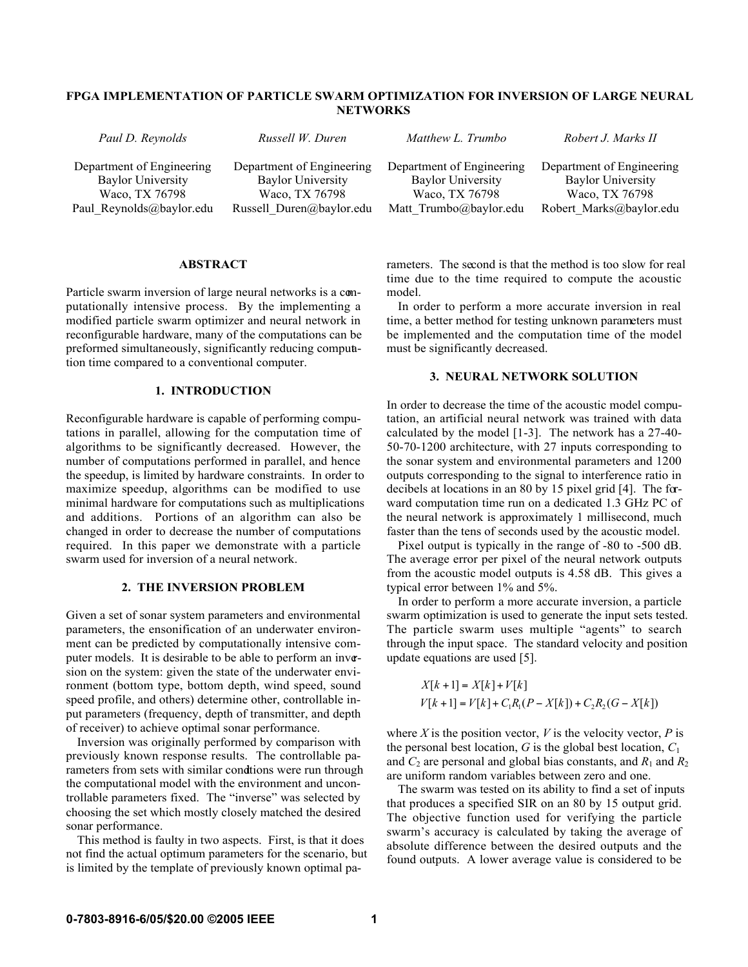# FPGA IMPLEMENTATION OF PARTICLE SWARM OPTIMIZATION FOR INVERSION OF LARGE NEURAL **NETWORKS**

| Paul D. Reynolds          | Russell W. Duren          | Matthew L. Trumbo         | Robert J. Marks II        |
|---------------------------|---------------------------|---------------------------|---------------------------|
| Department of Engineering | Department of Engineering | Department of Engineering | Department of Engineering |
| <b>Baylor University</b>  | <b>Baylor University</b>  | <b>Baylor University</b>  | <b>Baylor University</b>  |
| Waco, TX 76798            | Waco, TX 76798            | Waco, TX 76798            | Waco, TX 76798            |
| Paul Reynolds@baylor.edu  | Russell Duren@baylor.edu  | Matt Trumbo@baylor.edu    | Robert Marks@baylor.edu   |

#### ABSTRACT

Particle swarm inversion of large neural networks is a computationally intensive process. By the implementing a modified particle swarm optimizer and neural network in reconfigurable hardware, many of the computations can be preformed simultaneously, significantly reducing computation time compared to a conventional computer.

## 1. INTRODUCTION

Reconfigurable hardware is capable of performing computations in parallel, allowing for the computation time of algorithms to be significantly decreased. However, the number of computations performed in parallel, and hence the speedup, is limited by hardware constraints. In order to maximize speedup, algorithms can be modified to use minimal hardware for computations such as multiplications and additions. Portions of an algorithm can also be changed in order to decrease the number of computations required. In this paper we demonstrate with a particle swarm used for inversion of a neural network.

## 2. THE INVERSION PROBLEM

Given a set of sonar system parameters and environmental parameters, the ensonification of an underwater environment can be predicted by computationally intensive computer models. It is desirable to be able to perform an inversion on the system: given the state of the underwater environment (bottom type, bottom depth, wind speed, sound speed profile, and others) determine other, controllable input parameters (frequency, depth of transmitter, and depth of receiver) to achieve optimal sonar performance.

Inversion was originally performed by comparison with previously known response results. The controllable parameters from sets with similar condtions were run through the computational model with the environment and uncontrollable parameters fixed. The "inverse" was selected by choosing the set which mostly closely matched the desired sonar performance.

This method is faulty in two aspects. First, is that it does not find the actual optimum parameters for the scenario, but is limited by the template of previously known optimal parameters. The second is that the method is too slow for real time due to the time required to compute the acoustic model.

In order to perform a more accurate inversion in real time, a better method for testing unknown parameters must be implemented and the computation time of the model must be significantly decreased.

## 3. NEURAL NETWORK SOLUTION

In order to decrease the time of the acoustic model computation, an artificial neural network was trained with data calculated by the model [1-3]. The network has a 27-40- 50-70-1200 architecture, with 27 inputs corresponding to the sonar system and environmental parameters and 1200 outputs corresponding to the signal to interference ratio in decibels at locations in an 80 by 15 pixel grid [4]. The forward computation time run on a dedicated 1.3 GHz PC of the neural network is approximately 1 millisecond, much faster than the tens of seconds used by the acoustic model.

Pixel output is typically in the range of -80 to -500 dB. The average error per pixel of the neural network outputs from the acoustic model outputs is 4.58 dB. This gives a typical error between 1% and 5%.

In order to perform a more accurate inversion, a particle swarm optimization is used to generate the input sets tested. The particle swarm uses multiple "agents" to search through the input space. The standard velocity and position update equations are used [5].

$$
X[k+1] = X[k] + V[k]
$$
  
 
$$
V[k+1] = V[k] + C_1 R_1 (P - X[k]) + C_2 R_2 (G - X[k])
$$

where *X* is the position vector, *V* is the velocity vector, *P* is the personal best location,  $G$  is the global best location,  $C_1$ and  $C_2$  are personal and global bias constants, and  $R_1$  and  $R_2$ are uniform random variables between zero and one.

The swarm was tested on its ability to find a set of inputs that produces a specified SIR on an 80 by 15 output grid. The objective function used for verifying the particle swarm's accuracy is calculated by taking the average of absolute difference between the desired outputs and the found outputs. A lower average value is considered to be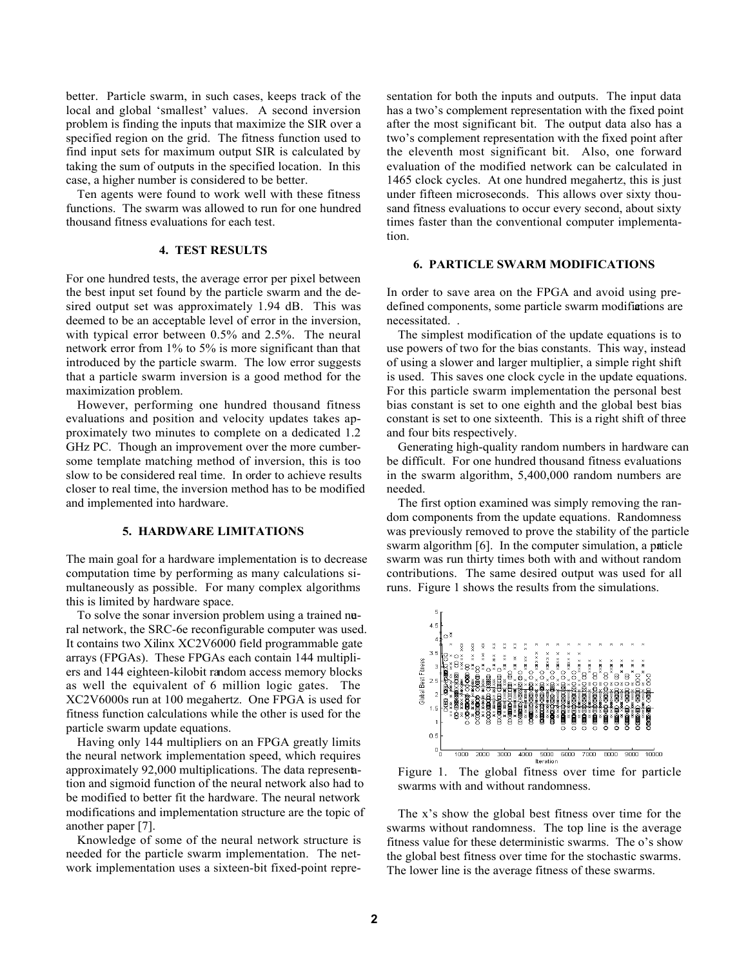better. Particle swarm, in such cases, keeps track of the local and global 'smallest' values. A second inversion problem is finding the inputs that maximize the SIR over a specified region on the grid. The fitness function used to find input sets for maximum output SIR is calculated by taking the sum of outputs in the specified location. In this case, a higher number is considered to be better.

Ten agents were found to work well with these fitness functions. The swarm was allowed to run for one hundred thousand fitness evaluations for each test.

## 4. TEST RESULTS

For one hundred tests, the average error per pixel between the best input set found by the particle swarm and the desired output set was approximately 1.94 dB. This was deemed to be an acceptable level of error in the inversion, with typical error between 0.5% and 2.5%. The neural network error from 1% to 5% is more significant than that introduced by the particle swarm. The low error suggests that a particle swarm inversion is a good method for the maximization problem.

However, performing one hundred thousand fitness evaluations and position and velocity updates takes approximately two minutes to complete on a dedicated 1.2 GHz PC. Though an improvement over the more cumbersome template matching method of inversion, this is too slow to be considered real time. In order to achieve results closer to real time, the inversion method has to be modified and implemented into hardware.

## 5. HARDWARE LIMITATIONS

The main goal for a hardware implementation is to decrease computation time by performing as many calculations simultaneously as possible. For many complex algorithms this is limited by hardware space.

To solve the sonar inversion problem using a trained neral network, the SRC-6e reconfigurable computer was used. It contains two Xilinx XC2V6000 field programmable gate arrays (FPGAs). These FPGAs each contain 144 multipliers and 144 eighteen-kilobit random access memory blocks as well the equivalent of 6 million logic gates. The XC2V6000s run at 100 megahertz. One FPGA is used for fitness function calculations while the other is used for the particle swarm update equations.

Having only 144 multipliers on an FPGA greatly limits the neural network implementation speed, which requires approximately 92,000 multiplications. The data representation and sigmoid function of the neural network also had to be modified to better fit the hardware. The neural network modifications and implementation structure are the topic of another paper [7].

Knowledge of some of the neural network structure is needed for the particle swarm implementation. The network implementation uses a sixteen-bit fixed-point representation for both the inputs and outputs. The input data has a two's complement representation with the fixed point after the most significant bit. The output data also has a two's complement representation with the fixed point after the eleventh most significant bit. Also, one forward evaluation of the modified network can be calculated in 1465 clock cycles. At one hundred megahertz, this is just under fifteen microseconds. This allows over sixty thousand fitness evaluations to occur every second, about sixty times faster than the conventional computer implementation.

#### 6. PARTICLE SWARM MODIFICATIONS

In order to save area on the FPGA and avoid using predefined components, some particle swarm modifications are necessitated. .

The simplest modification of the update equations is to use powers of two for the bias constants. This way, instead of using a slower and larger multiplier, a simple right shift is used. This saves one clock cycle in the update equations. For this particle swarm implementation the personal best bias constant is set to one eighth and the global best bias constant is set to one sixteenth. This is a right shift of three and four bits respectively.

Generating high-quality random numbers in hardware can be difficult. For one hundred thousand fitness evaluations in the swarm algorithm, 5,400,000 random numbers are needed.

The first option examined was simply removing the random components from the update equations. Randomness was previously removed to prove the stability of the particle swarm algorithm [6]. In the computer simulation, a paticle swarm was run thirty times both with and without random contributions. The same desired output was used for all runs. Figure 1 shows the results from the simulations.



Figure 1. The global fitness over time for particle swarms with and without randomness.

The x's show the global best fitness over time for the swarms without randomness. The top line is the average fitness value for these deterministic swarms. The o's show the global best fitness over time for the stochastic swarms. The lower line is the average fitness of these swarms.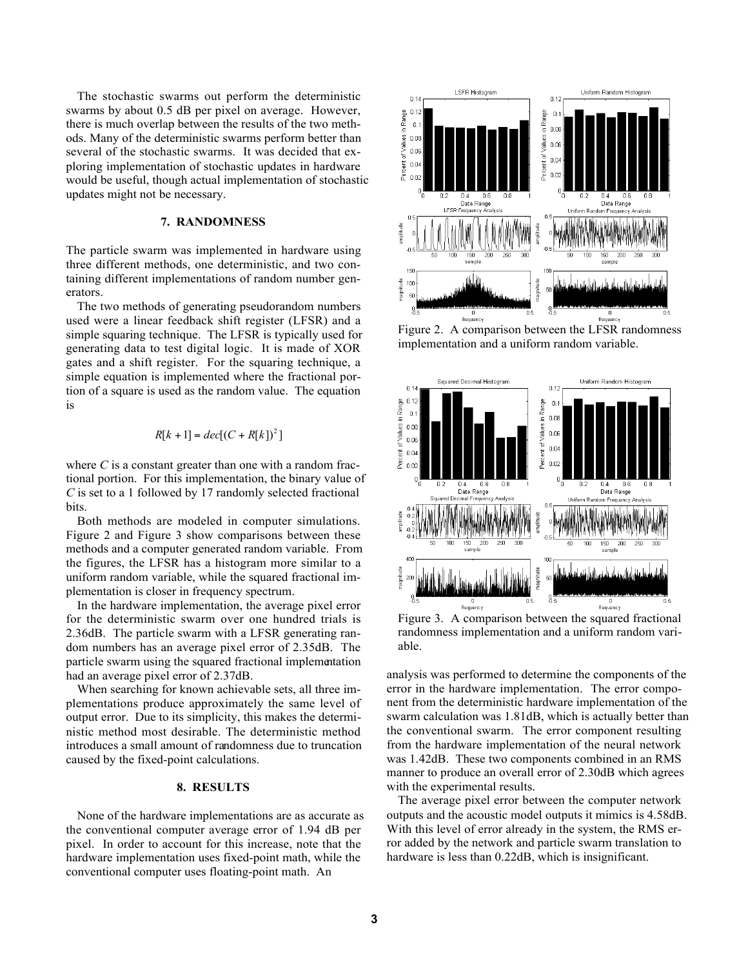The stochastic swarms out perform the deterministic swarms by about 0.5 dB per pixel on average. However, there is much overlap between the results of the two methods. Many of the deterministic swarms perform better than several of the stochastic swarms. It was decided that exploring implementation of stochastic updates in hardware would be useful, though actual implementation of stochastic updates might not be necessary.

### 7. RANDOMNESS

The particle swarm was implemented in hardware using three different methods, one deterministic, and two containing different implementations of random number generators.

The two methods of generating pseudorandom numbers used were a linear feedback shift register (LFSR) and a simple squaring technique. The LFSR is typically used for generating data to test digital logic. It is made of XOR gates and a shift register. For the squaring technique, a simple equation is implemented where the fractional portion of a square is used as the random value. The equation is

$$
R[k+1] = dec[(C + R[k])^{2}]
$$

where *C* is a constant greater than one with a random fractional portion. For this implementation, the binary value of *C* is set to a 1 followed by 17 randomly selected fractional bits.

Both methods are modeled in computer simulations. Figure 2 and Figure 3 show comparisons between these methods and a computer generated random variable. From the figures, the LFSR has a histogram more similar to a uniform random variable, while the squared fractional implementation is closer in frequency spectrum.

In the hardware implementation, the average pixel error for the deterministic swarm over one hundred trials is 2.36dB. The particle swarm with a LFSR generating random numbers has an average pixel error of 2.35dB. The particle swarm using the squared fractional implementation had an average pixel error of 2.37dB.

When searching for known achievable sets, all three implementations produce approximately the same level of output error. Due to its simplicity, this makes the deterministic method most desirable. The deterministic method introduces a small amount of randomness due to truncation caused by the fixed-point calculations.

#### 8. RESULTS

None of the hardware implementations are as accurate as the conventional computer average error of 1.94 dB per pixel. In order to account for this increase, note that the hardware implementation uses fixed-point math, while the conventional computer uses floating-point math. An



Figure 2. A comparison between the LFSR randomness implementation and a uniform random variable.



Figure 3. A comparison between the squared fractional randomness implementation and a uniform random variable.

analysis was performed to determine the components of the error in the hardware implementation. The error component from the deterministic hardware implementation of the swarm calculation was 1.81dB, which is actually better than the conventional swarm. The error component resulting from the hardware implementation of the neural network was 1.42dB. These two components combined in an RMS manner to produce an overall error of 2.30dB which agrees with the experimental results.

The average pixel error between the computer network outputs and the acoustic model outputs it mimics is 4.58dB. With this level of error already in the system, the RMS error added by the network and particle swarm translation to hardware is less than 0.22dB, which is insignificant.